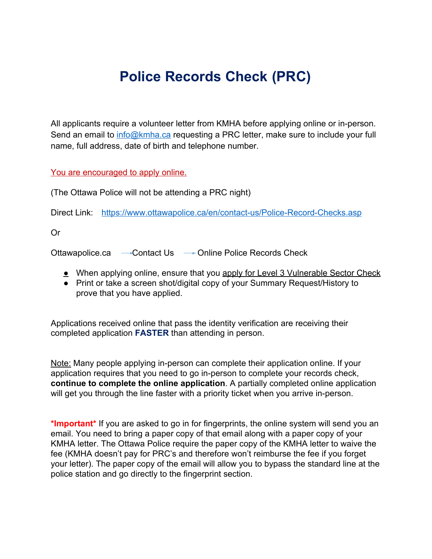## **Police Records Check (PRC)**

All applicants require a volunteer letter from KMHA before applying online or in-person. Send an email to [info@kmha.ca](mailto:info@kmha.ca) requesting a PRC letter, make sure to include your full name, full address, date of birth and telephone number.

You are encouraged to apply online.

(The Ottawa Police will not be attending a PRC night)

Direct Link: <https://www.ottawapolice.ca/en/contact-us/Police-Record-Checks.asp>

Or

Ottawapolice.ca - Contact Us - Online Police Records Check

- When applying online, ensure that you apply for Level 3 Vulnerable Sector Check
- Print or take a screen shot/digital copy of your Summary Request/History to prove that you have applied.

Applications received online that pass the identity verification are receiving their completed application **FASTER** than attending in person.

Note: Many people applying in-person can complete their application online. If your application requires that you need to go in-person to complete your records check, **continue to complete the online application**. A partially completed online application will get you through the line faster with a priority ticket when you arrive in-person.

**\*Important\*** If you are asked to go in for fingerprints, the online system will send you an email. You need to bring a paper copy of that email along with a paper copy of your KMHA letter. The Ottawa Police require the paper copy of the KMHA letter to waive the fee (KMHA doesn't pay for PRC's and therefore won't reimburse the fee if you forget your letter). The paper copy of the email will allow you to bypass the standard line at the police station and go directly to the fingerprint section.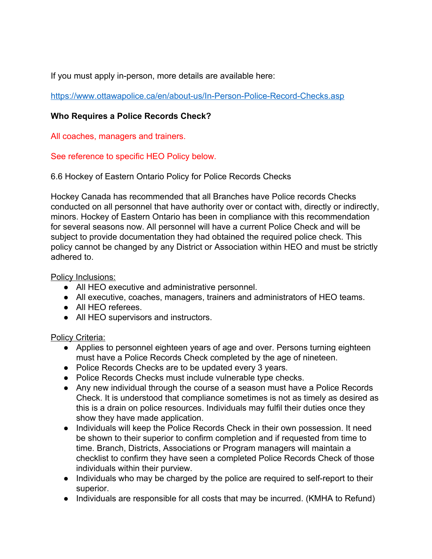If you must apply in-person, more details are available here:

<https://www.ottawapolice.ca/en/about-us/In-Person-Police-Record-Checks.asp>

## **Who Requires a Police Records Check?**

All coaches, managers and trainers.

See reference to specific HEO Policy below.

6.6 Hockey of Eastern Ontario Policy for Police Records Checks

Hockey Canada has recommended that all Branches have Police records Checks conducted on all personnel that have authority over or contact with, directly or indirectly, minors. Hockey of Eastern Ontario has been in compliance with this recommendation for several seasons now. All personnel will have a current Police Check and will be subject to provide documentation they had obtained the required police check. This policy cannot be changed by any District or Association within HEO and must be strictly adhered to.

Policy Inclusions:

- All HEO executive and administrative personnel.
- All executive, coaches, managers, trainers and administrators of HEO teams.
- All HEO referees.
- All HEO supervisors and instructors.

## Policy Criteria:

- Applies to personnel eighteen years of age and over. Persons turning eighteen must have a Police Records Check completed by the age of nineteen.
- Police Records Checks are to be updated every 3 years.
- Police Records Checks must include vulnerable type checks.
- Any new individual through the course of a season must have a Police Records Check. It is understood that compliance sometimes is not as timely as desired as this is a drain on police resources. Individuals may fulfil their duties once they show they have made application.
- Individuals will keep the Police Records Check in their own possession. It need be shown to their superior to confirm completion and if requested from time to time. Branch, Districts, Associations or Program managers will maintain a checklist to confirm they have seen a completed Police Records Check of those individuals within their purview.
- Individuals who may be charged by the police are required to self-report to their superior.
- Individuals are responsible for all costs that may be incurred. (KMHA to Refund)